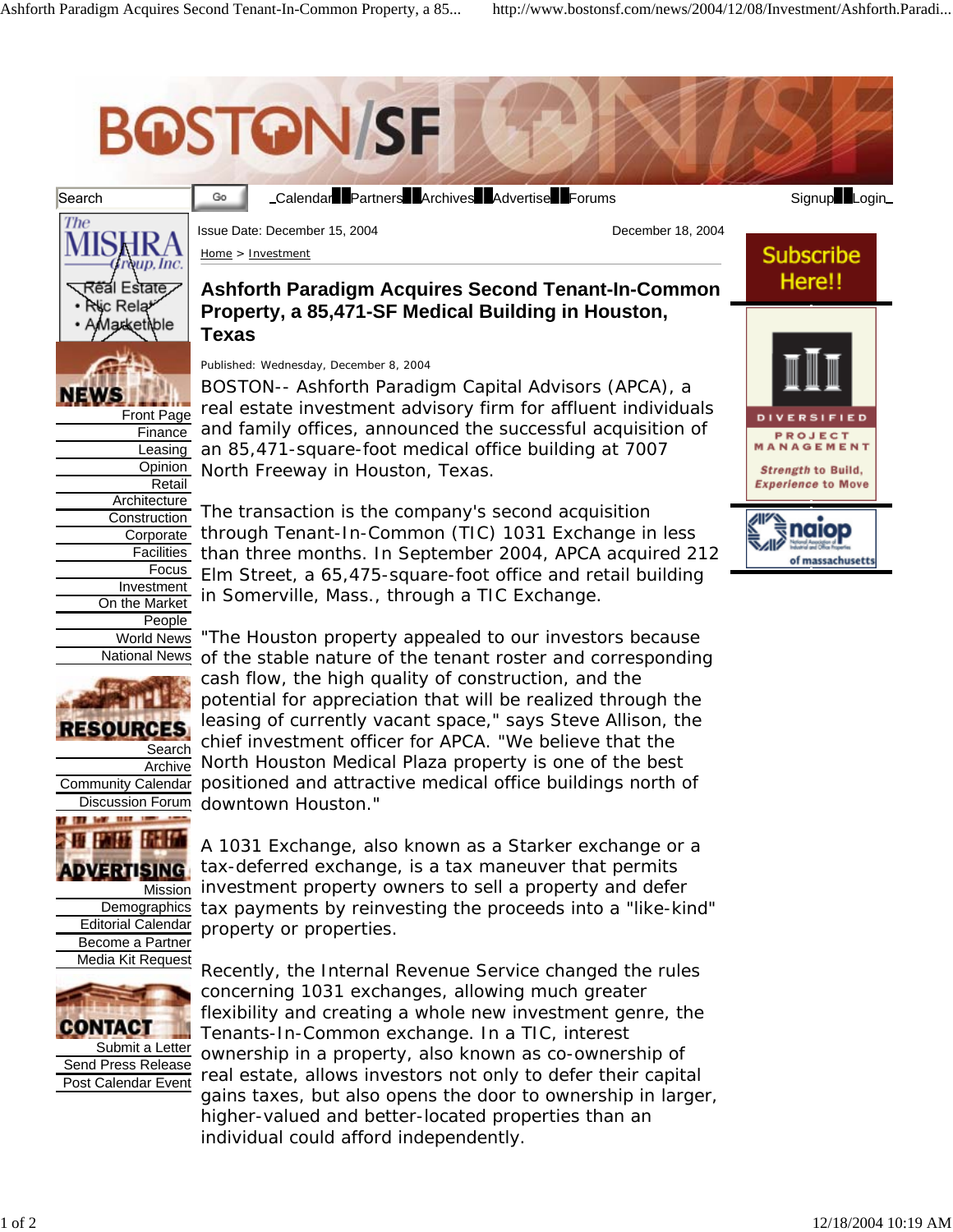Go

## **BOSTON/SF**





Front Page Finance Leasing **Opinion** Retail Architecture **Construction Corporate** Facilities Focus Investment On the Market People World News National News





Login Calendar Partners Archives Advertise Forums Signup Login

**Subscribe** Here!!

PROJECT ANAGEMENT Strength to Build, **Experience to Move** 

naiop

of massachusetts

Home > Investment

Issue Date: December 15, 2004 **December 18, 2004** 

## **Ashforth Paradigm Acquires Second Tenant-In-Common Property, a 85,471-SF Medical Building in Houston, Texas**

Published: Wednesday, December 8, 2004

BOSTON-- Ashforth Paradigm Capital Advisors (APCA), a real estate investment advisory firm for affluent individuals and family offices, announced the successful acquisition of an 85,471-square-foot medical office building at 7007 North Freeway in Houston, Texas.

The transaction is the company's second acquisition through Tenant-In-Common (TIC) 1031 Exchange in less than three months. In September 2004, APCA acquired 212 Elm Street, a 65,475-square-foot office and retail building in Somerville, Mass., through a TIC Exchange.

"The Houston property appealed to our investors because of the stable nature of the tenant roster and corresponding cash flow, the high quality of construction, and the potential for appreciation that will be realized through the leasing of currently vacant space," says Steve Allison, the chief investment officer for APCA. "We believe that the North Houston Medical Plaza property is one of the best positioned and attractive medical office buildings north of downtown Houston."

A 1031 Exchange, also known as a Starker exchange or a tax-deferred exchange, is a tax maneuver that permits investment property owners to sell a property and defer tax payments by reinvesting the proceeds into a "like-kind" property or properties.

Recently, the Internal Revenue Service changed the rules concerning 1031 exchanges, allowing much greater flexibility and creating a whole new investment genre, the Tenants-In-Common exchange. In a TIC, interest ownership in a property, also known as co-ownership of real estate, allows investors not only to defer their capital gains taxes, but also opens the door to ownership in larger, higher-valued and better-located properties than an individual could afford independently.